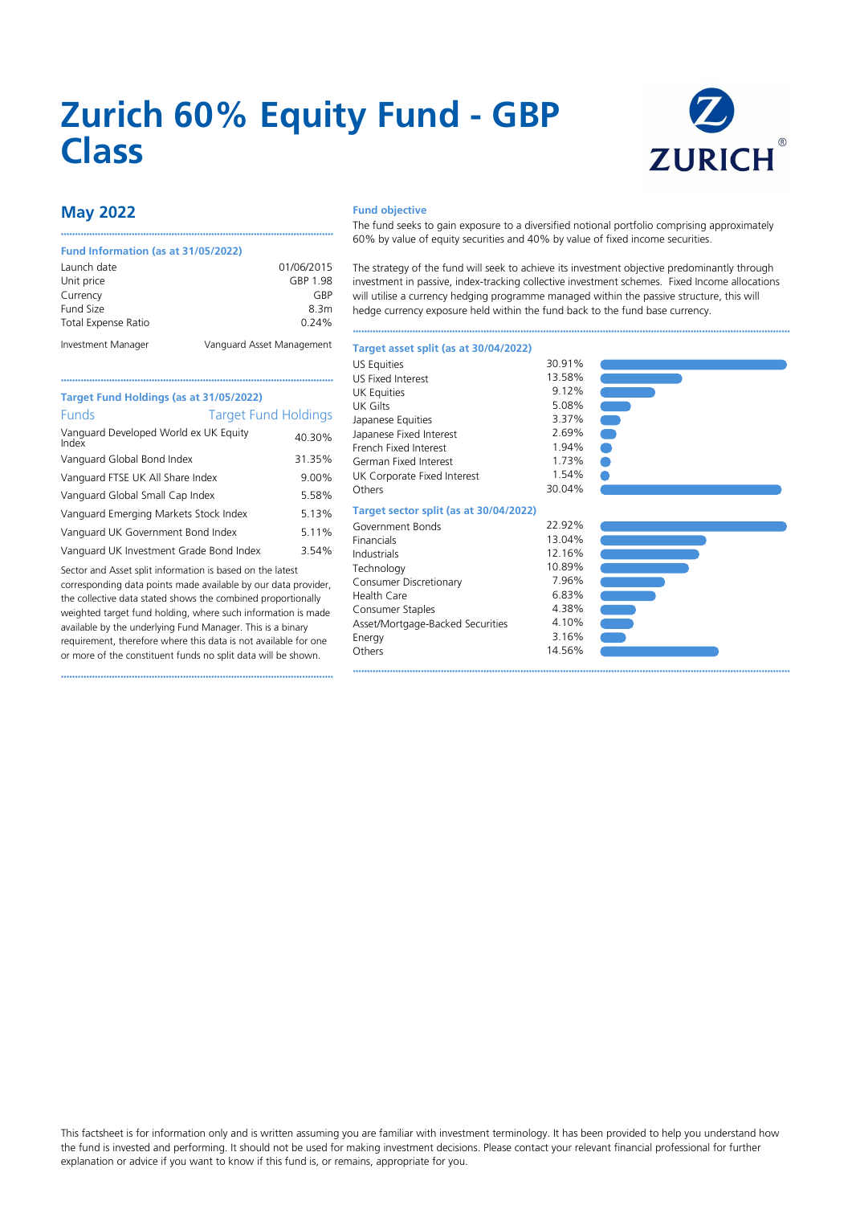# **Zurich 60% Equity Fund - GBP Class**



## **May 2022**

#### **Fund Information (as at 31/05/2022)**

| Launch date                | 01/06/2015                |
|----------------------------|---------------------------|
| Unit price                 | GBP 1.98                  |
| Currency                   | GRP                       |
| Fund Size                  | 8.3m                      |
| <b>Total Expense Ratio</b> | 0.24%                     |
| Investment Manager         | Vanguard Asset Management |

••••••••••••••••••••••••••••••••••••••••••••••••••••••••••••••••••••••••••••••••••••••••••••••••

#### **Fund objective**

The fund seeks to gain exposure to a diversified notional portfolio comprising approximately 60% by value of equity securities and 40% by value of fixed income securities.

The strategy of the fund will seek to achieve its investment objective predominantly through investment in passive, index-tracking collective investment schemes. Fixed Income allocations will utilise a currency hedging programme managed within the passive structure, this will hedge currency exposure held within the fund back to the fund base currency.

••••••••••••••••••••••••••••••••••••••••••••••••••••••••••••••••••••••••••••••••••••••••••••••••••••••••••••••••••••••••••••••••••••••••••••••••••••••••••

| Target Fund Holdings (as at 31/05/2022)        |                             |
|------------------------------------------------|-----------------------------|
| Funds                                          | <b>Target Fund Holdings</b> |
| Vanguard Developed World ex UK Equity<br>Index | 40.30%                      |
| Vanguard Global Bond Index                     | 31.35%                      |
| Vanguard FTSE UK All Share Index               | 9.00%                       |
| Vanguard Global Small Cap Index                | 5.58%                       |
| Vanguard Emerging Markets Stock Index          | 5.13%                       |
| Vanguard UK Government Bond Index              | 5.11%                       |
| Vanguard LIK Investment Grade Rond Index       | $3.54\%$                    |

rd UK Investment Grade Bond Index

Sector and Asset split information is based on the latest corresponding data points made available by our data provider, the collective data stated shows the combined proportionally weighted target fund holding, where such information is made available by the underlying Fund Manager. This is a binary requirement, therefore where this data is not available for one or more of the constituent funds no split data will be shown.

••••••••••••••••••••••••••••••••••••••••••••••••••••••••••••••••••••••••••••••••••••••••••••••••

| <b>US Equities</b>                     | 30.91% |
|----------------------------------------|--------|
| <b>US Fixed Interest</b>               | 13.58% |
| <b>UK Equities</b>                     | 9.12%  |
| <b>UK Gilts</b>                        | 5.08%  |
| Japanese Equities                      | 3.37%  |
| Japanese Fixed Interest                | 2.69%  |
| French Fixed Interest                  | 1.94%  |
| German Fixed Interest                  | 1.73%  |
| UK Corporate Fixed Interest            | 1.54%  |
| Others                                 | 30.04% |
| Target sector split (as at 30/04/2022) |        |
| Government Bonds                       | 22.92% |
| Financials                             | 13.04% |
| Industrials                            | 12.16% |
| Technology                             | 10.89% |
| Consumer Discretionary                 | 7.96%  |
| <b>Health Care</b>                     | 6.83%  |
| Consumer Staples                       | 4.38%  |
| Asset/Mortgage-Backed Securities       | 4.10%  |
| Energy                                 | 3.16%  |
| Others                                 | 14.56% |

**Target asset split (as at 30/04/2022)**